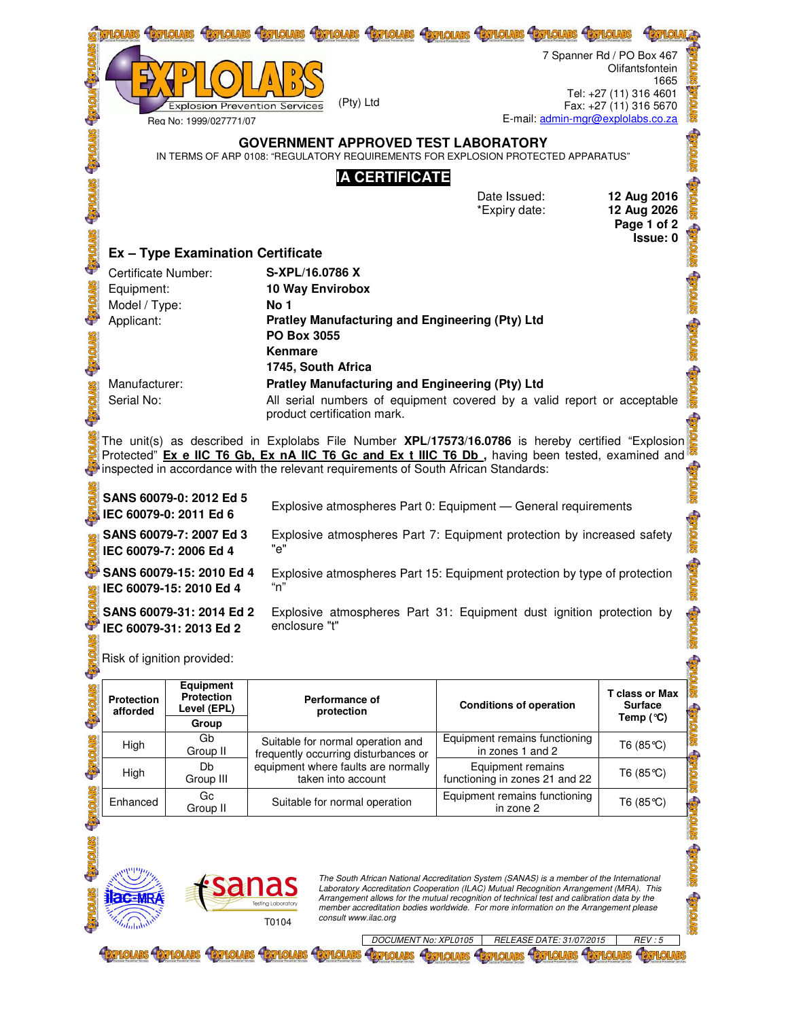|                                                                                                                                                                                      |                                                                                                                                                                                                               |                                                                                                                                                               |  | <b>FITHOLARS</b><br><b><i>ASTPLOUARS</i></b>                                                      |  | <b>ESTPLOIARS</b><br><b>EXPLOIARS</b>                                     | 7 Spanner Rd / PO Box 467                        |                                                                            |  |  |
|--------------------------------------------------------------------------------------------------------------------------------------------------------------------------------------|---------------------------------------------------------------------------------------------------------------------------------------------------------------------------------------------------------------|---------------------------------------------------------------------------------------------------------------------------------------------------------------|--|---------------------------------------------------------------------------------------------------|--|---------------------------------------------------------------------------|--------------------------------------------------|----------------------------------------------------------------------------|--|--|
|                                                                                                                                                                                      |                                                                                                                                                                                                               | <b>Explosion Prevention Services</b><br>Rea No: 1999/027771/07                                                                                                |  | (Pty) Ltd                                                                                         |  | E-mail: admin-mgr@explolabs.co.za                                         | Tel: +27 (11) 316 4601<br>Fax: +27 (11) 316 5670 | Olifantsfontein<br>1665                                                    |  |  |
|                                                                                                                                                                                      | <b>GOVERNMENT APPROVED TEST LABORATORY</b><br>IN TERMS OF ARP 0108: "REGULATORY REQUIREMENTS FOR EXPLOSION PROTECTED APPARATUS"                                                                               |                                                                                                                                                               |  |                                                                                                   |  |                                                                           |                                                  |                                                                            |  |  |
|                                                                                                                                                                                      | <b>IA CERTIFICATE</b>                                                                                                                                                                                         |                                                                                                                                                               |  |                                                                                                   |  |                                                                           |                                                  |                                                                            |  |  |
|                                                                                                                                                                                      |                                                                                                                                                                                                               |                                                                                                                                                               |  |                                                                                                   |  | Date Issued:<br>*Expiry date:                                             |                                                  | 12 Aug 2016<br>12 Aug 2026<br>Page 1 of 2                                  |  |  |
| <b>Morta</b>                                                                                                                                                                         | Issue: 0<br><b>Ex - Type Examination Certificate</b>                                                                                                                                                          |                                                                                                                                                               |  |                                                                                                   |  |                                                                           |                                                  |                                                                            |  |  |
|                                                                                                                                                                                      | <b>Certificate Number:</b>                                                                                                                                                                                    |                                                                                                                                                               |  | S-XPL/16.0786 X                                                                                   |  |                                                                           |                                                  |                                                                            |  |  |
|                                                                                                                                                                                      | Equipment:                                                                                                                                                                                                    |                                                                                                                                                               |  | 10 Way Envirobox                                                                                  |  |                                                                           |                                                  |                                                                            |  |  |
| <b>STATOLARS</b>                                                                                                                                                                     | Model / Type:<br>No 1                                                                                                                                                                                         |                                                                                                                                                               |  |                                                                                                   |  |                                                                           |                                                  |                                                                            |  |  |
|                                                                                                                                                                                      | <b>Pratley Manufacturing and Engineering (Pty) Ltd</b><br>Applicant:<br>PO Box 3055                                                                                                                           |                                                                                                                                                               |  |                                                                                                   |  |                                                                           |                                                  |                                                                            |  |  |
|                                                                                                                                                                                      | Kenmare                                                                                                                                                                                                       |                                                                                                                                                               |  |                                                                                                   |  |                                                                           |                                                  |                                                                            |  |  |
|                                                                                                                                                                                      | 1745, South Africa                                                                                                                                                                                            |                                                                                                                                                               |  |                                                                                                   |  |                                                                           |                                                  |                                                                            |  |  |
| Manufacturer:<br><b>Pratley Manufacturing and Engineering (Pty) Ltd</b><br><b>STATOLARS</b><br>Serial No:<br>All serial numbers of equipment covered by a valid report or acceptable |                                                                                                                                                                                                               |                                                                                                                                                               |  |                                                                                                   |  |                                                                           |                                                  |                                                                            |  |  |
|                                                                                                                                                                                      | product certification mark.                                                                                                                                                                                   |                                                                                                                                                               |  |                                                                                                   |  |                                                                           |                                                  |                                                                            |  |  |
|                                                                                                                                                                                      | The unit(s) as described in Explolabs File Number <b>XPL/17573/16.0786</b> is hereby certified "Explosion<br>Protected" Ex e IIC T6 Gb, Ex nA IIC T6 Gc and Ex t IIIC T6 Db, having been tested, examined and |                                                                                                                                                               |  |                                                                                                   |  |                                                                           |                                                  |                                                                            |  |  |
| inspected in accordance with the relevant requirements of South African Standards:                                                                                                   |                                                                                                                                                                                                               |                                                                                                                                                               |  |                                                                                                   |  |                                                                           |                                                  |                                                                            |  |  |
| SANS 60079-0: 2012 Ed 5<br>Explosive atmospheres Part 0: Equipment - General requirements<br>IEC 60079-0: 2011 Ed 6                                                                  |                                                                                                                                                                                                               |                                                                                                                                                               |  |                                                                                                   |  |                                                                           |                                                  |                                                                            |  |  |
|                                                                                                                                                                                      | SANS 60079-7: 2007 Ed 3<br>Explosive atmospheres Part 7: Equipment protection by increased safety<br>"e"<br>IEC 60079-7: 2006 Ed 4                                                                            |                                                                                                                                                               |  |                                                                                                   |  |                                                                           |                                                  |                                                                            |  |  |
|                                                                                                                                                                                      | SANS 60079-15: 2010 Ed 4<br>Explosive atmospheres Part 15: Equipment protection by type of protection<br>"n"<br>IEC 60079-15: 2010 Ed 4                                                                       |                                                                                                                                                               |  |                                                                                                   |  |                                                                           |                                                  |                                                                            |  |  |
|                                                                                                                                                                                      |                                                                                                                                                                                                               | SANS 60079-31: 2014 Ed 2<br>Explosive atmospheres Part 31: Equipment dust ignition protection by<br><b>STORES</b><br>enclosure "t"<br>IEC 60079-31: 2013 Ed 2 |  |                                                                                                   |  |                                                                           |                                                  |                                                                            |  |  |
| <b>Torist</b>                                                                                                                                                                        | Risk of ignition provided:                                                                                                                                                                                    |                                                                                                                                                               |  |                                                                                                   |  |                                                                           |                                                  |                                                                            |  |  |
| <b>Savionas</b>                                                                                                                                                                      | Protection<br>afforded                                                                                                                                                                                        | <b>Equipment</b><br>Protection<br>Level (EPL)<br>Group                                                                                                        |  | Performance of<br>protection                                                                      |  | <b>Conditions of operation</b>                                            |                                                  | <b>T</b> class or Max<br><b>Surface</b><br><b>Capiloris</b><br>Temp $(°C)$ |  |  |
|                                                                                                                                                                                      | High                                                                                                                                                                                                          | Gb<br>Group II                                                                                                                                                |  | Suitable for normal operation and                                                                 |  | Equipment remains functioning<br>in zones 1 and 2                         |                                                  | T6 $(85^{\circ}C)$                                                         |  |  |
| <b>STVIOLES</b>                                                                                                                                                                      | High                                                                                                                                                                                                          | Db<br>Group III                                                                                                                                               |  | frequently occurring disturbances or<br>equipment where faults are normally<br>taken into account |  | Equipment remains<br>T6 $(85^{\circ}C)$<br>functioning in zones 21 and 22 |                                                  | <b>STORES</b>                                                              |  |  |
|                                                                                                                                                                                      | Enhanced                                                                                                                                                                                                      | Gc<br>Group II                                                                                                                                                |  | Suitable for normal operation                                                                     |  | Equipment remains functioning<br>in zone 2                                |                                                  | <b>Q</b><br>T6 $(85^{\circ}C)$                                             |  |  |



The South African National Accreditation System (SANAS) is a member of the International<br>Laboratory Accreditation Cooperation (ILAC) Mutual Recognition Arrangement (MRA). This<br>Arrangement allows for the mutual recognition

**E**PHOLARS

**EXPLOLARS** 

**STIONIC STIONIC STIONIC** 

**EXPLOLARS**